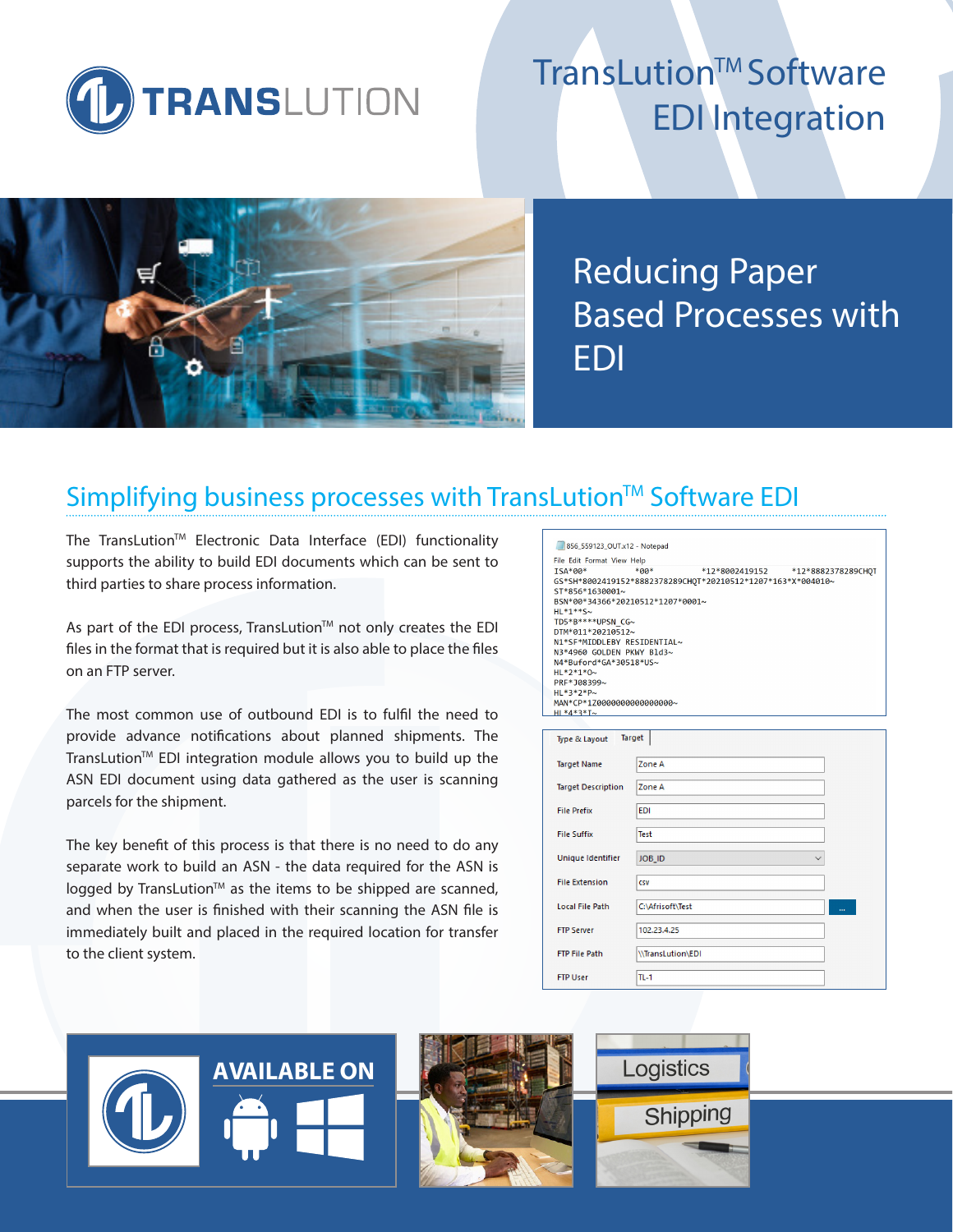

# TransLution™ Software EDI Integration



Reducing Paper Based Processes with EDI

## Simplifying business processes with TransLution™ Software EDI

The TransLution<sup>™</sup> Electronic Data Interface (EDI) functionality supports the ability to build EDI documents which can be sent to third parties to share process information.

As part of the EDI process, TransLution™ not only creates the EDI files in the format that is required but it is also able to place the files on an FTP server.

The most common use of outbound EDI is to fulfil the need to provide advance notifications about planned shipments. The TransLution™ EDI integration module allows you to build up the ASN EDI document using data gathered as the user is scanning parcels for the shipment.

The key benefit of this process is that there is no need to do any separate work to build an ASN - the data required for the ASN is logged by TransLution™ as the items to be shipped are scanned, and when the user is finished with their scanning the ASN file is immediately built and placed in the required location for transfer to the client system.

| 856_559123_OUT.x12 - Notepad                                                                                                                                                                                                                                                                                           |
|------------------------------------------------------------------------------------------------------------------------------------------------------------------------------------------------------------------------------------------------------------------------------------------------------------------------|
| File Edit Format View Help                                                                                                                                                                                                                                                                                             |
| $TSA*99*$<br>$*90*$<br>GS*SH*8002419152*8882378289CHQT*20210512*1207*163*X*004010~<br>ST*856*1630001~<br>BSN*00*34366*20210512*1207*0001~<br>$HL * 1 * * S \sim$<br>TD5*B****UPSN CG~<br>DTM*011*20210512~<br>N1*SF*MIDDLEBY RESIDENTIAL~<br>N3*4960 GOLDEN PKWY B1d3~<br>N4*Buford*GA*30518*US~<br>$HL * 2 * 1 * 0$ ~ |
| PRF*108399~                                                                                                                                                                                                                                                                                                            |
| $HI * 3 * 2 * P \sim$                                                                                                                                                                                                                                                                                                  |
| MAN*CP*1Z0000000000000000~                                                                                                                                                                                                                                                                                             |
| $HL*4*3*I~$                                                                                                                                                                                                                                                                                                            |
|                                                                                                                                                                                                                                                                                                                        |
| Target<br>Type & Layout                                                                                                                                                                                                                                                                                                |

| Type & Layout             | Target                 |
|---------------------------|------------------------|
| <b>Target Name</b>        | Zone A                 |
| <b>Target Description</b> | Zone A                 |
| <b>File Prefix</b>        | <b>EDI</b>             |
| <b>File Suffix</b>        | <b>Test</b>            |
| Unique Identifier         | JOB_ID<br>$\checkmark$ |
| <b>File Extension</b>     | CSV                    |
| <b>Local File Path</b>    | C:\Afrisoft\Test<br>   |
| <b>FTP Server</b>         | 102.23.4.25            |
| <b>FTP File Path</b>      | \\TransLution\EDI      |
| <b>FTP User</b>           | $TL-1$                 |